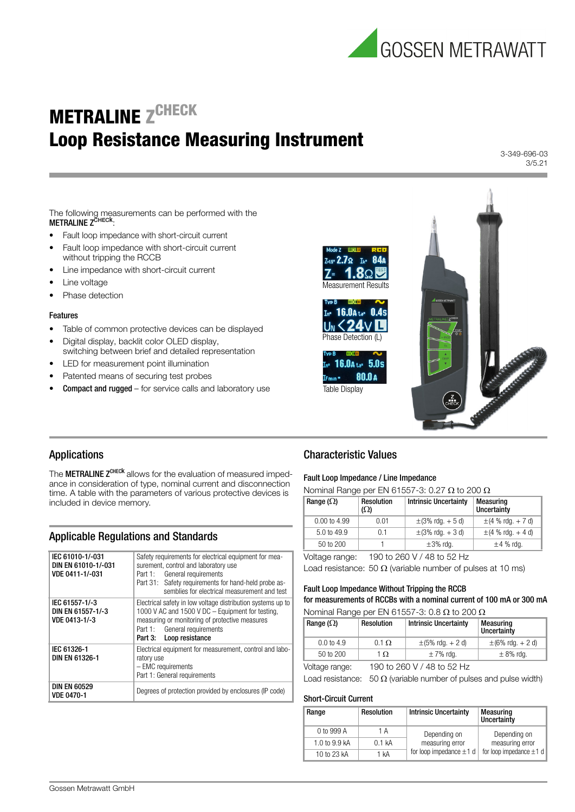

# **METRALINE ZCHECK** Loop Resistance Measuring Instrument

3-349-696-03 3/5.21

The following measurements can be performed with the<br>**METRALINE Z<sup>CHECk</sup>:** 

- Fault loop impedance with short-circuit current
- Fault loop impedance with short-circuit current without tripping the RCCB
- Line impedance with short-circuit current
- Line voltage
- Phase detection

#### Features

- Table of common protective devices can be displayed
- Digital display, backlit color OLED display, switching between brief and detailed representation
- LED for measurement point illumination
- Patented means of securing test probes
- Compact and rugged for service calls and laboratory use



## Applications

The **METRALINE Z<sup>CHECK</sup>** allows for the evaluation of measured impedance in consideration of type, nominal current and disconnection time. A table with the parameters of various protective devices is included in device memory.

## Applicable Regulations and Standards

| IEC 61010-1/-031<br>DIN EN 61010-1/-031<br>VDE 0411-1/-031 | Safety requirements for electrical equipment for mea-<br>surement, control and laboratory use<br>Part 1: General requirements<br>Part 31: Safety requirements for hand-held probe as-<br>semblies for electrical measurement and test |
|------------------------------------------------------------|---------------------------------------------------------------------------------------------------------------------------------------------------------------------------------------------------------------------------------------|
| IEC 61557-1/-3<br>DIN EN 61557-1/-3<br>VDE 0413-1/-3       | Electrical safety in low voltage distribution systems up to<br>1000 V AC and 1500 V DC - Equipment for testing,<br>measuring or monitoring of protective measures<br>Part 1: General requirements<br>Part 3: Loop resistance          |
| IEC 61326-1<br>DIN EN 61326-1                              | Electrical equipment for measurement, control and labo-<br>ratory use<br>- EMC requirements<br>Part 1: General requirements                                                                                                           |
| <b>DIN EN 60529</b><br><b>VDE 0470-1</b>                   | Degrees of protection provided by enclosures (IP code)                                                                                                                                                                                |

## Characteristic Values

#### Fault Loop Impedance / Line Impedance

Nominal Range per EN 61557-3: 0.27  $\Omega$  to 200  $\Omega$ 

| Range $(\Omega)$       | <b>Resolution</b><br>$(\Omega)$ | <b>Intrinsic Uncertainty</b> | Measuring<br>Uncertainty |
|------------------------|---------------------------------|------------------------------|--------------------------|
| $0.00$ to 4.99         | 0.01                            | $\pm$ (3% rdg. + 5 d)        | $\pm$ (4 % rdg. + 7 d)   |
| $5.0 \text{ to } 49.9$ | 0.1                             | $\pm$ (3% rdg. + 3 d)        | $\pm$ (4 % rdg. + 4 d)   |
| $50$ to $200$          |                                 | $\pm 3\%$ rdg.               | $\pm 4$ % rdg.           |
|                        |                                 |                              |                          |

Voltage range: 190 to 260 V / 48 to 52 Hz

Load resistance: 50  $\Omega$  (variable number of pulses at 10 ms)

## Fault Loop Impedance Without Tripping the RCCB for measurements of RCCBs with a nominal current of 100 mA or 300 mA

Nominal Range per EN 61557-3: 0.8  $\Omega$  to 200  $\Omega$ 

| Range ( $\Omega$ )    | Resolution   | <b>Intrinsic Uncertainty</b> | Measuring<br>Uncertainty |
|-----------------------|--------------|------------------------------|--------------------------|
| $0.0 \text{ to } 4.9$ | $0.1 \Omega$ | $\pm$ (5% rdg. + 2 d)        | $\pm$ (6% rdg. + 2 d)    |
| $50$ to $200$         | 1 O.         | $\pm$ 7% rdq.                | $\pm$ 8% rdg.            |
|                       |              |                              |                          |

Voltage range: 190 to 260 V / 48 to 52 Hz

Load resistance: 50  $\Omega$  (variable number of pulses and pulse width)

#### Short-Circuit Current

| Range                   | <b>Resolution</b> | <b>Intrinsic Uncertainty</b>                    | <b>Measuring</b><br>Uncertainty |
|-------------------------|-------------------|-------------------------------------------------|---------------------------------|
| 0 to 999 A              | 1 A               | Depending on                                    | Depending on                    |
| 1.0 to $9.9 \text{ kA}$ | $0.1$ kA          | measuring error<br>for loop impedance $\pm 1$ d | measuring error                 |
| 10 to 23 kA             | 1 kA              |                                                 | for loop impedance $\pm 1$ d    |